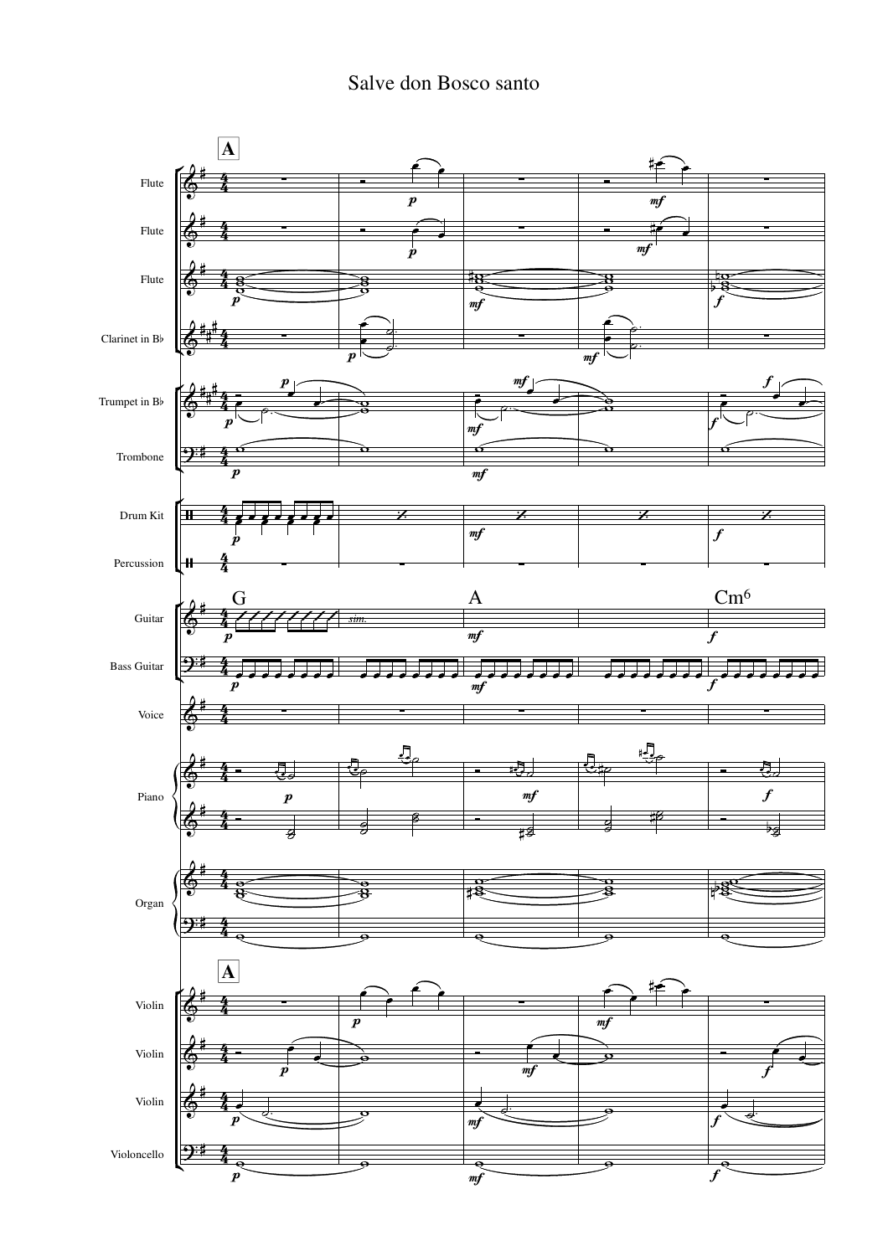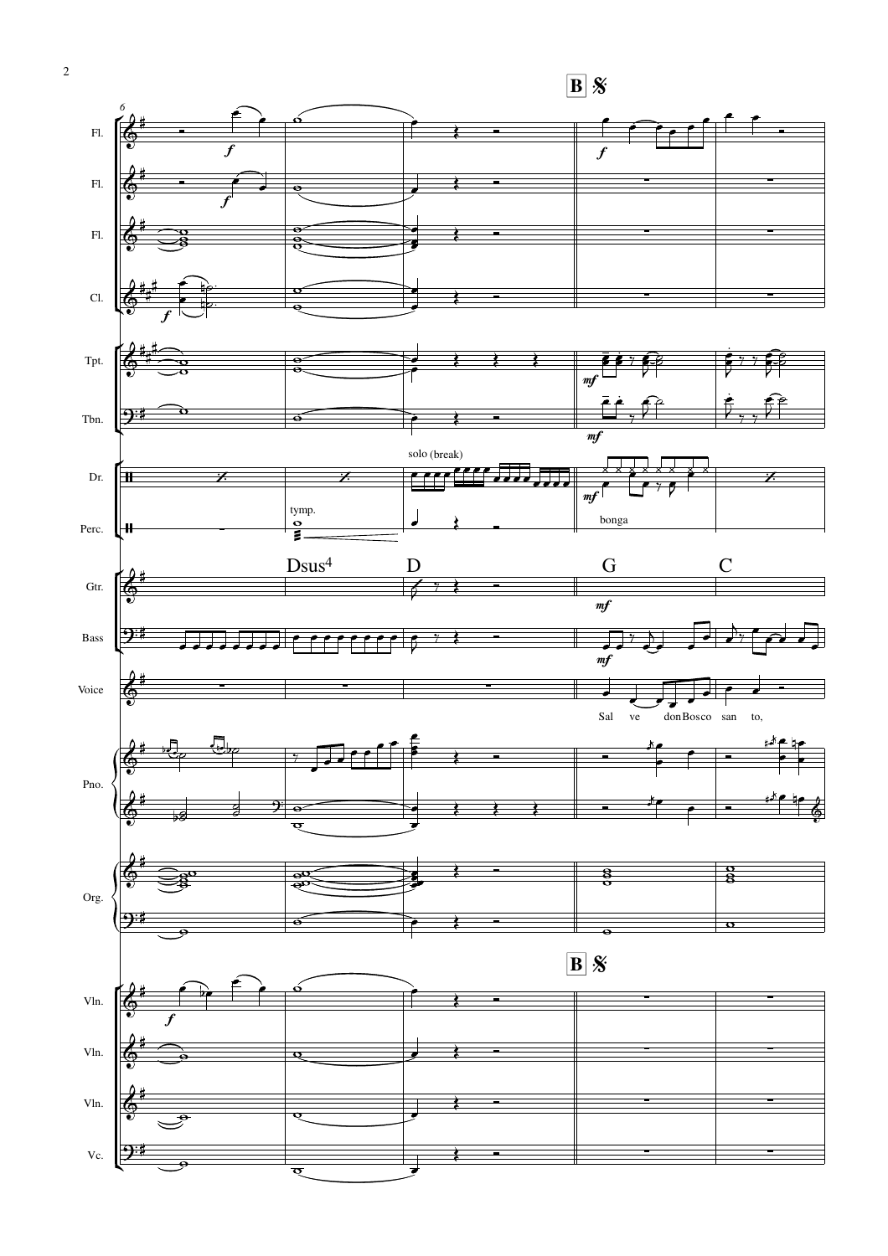

 $\overline{2}$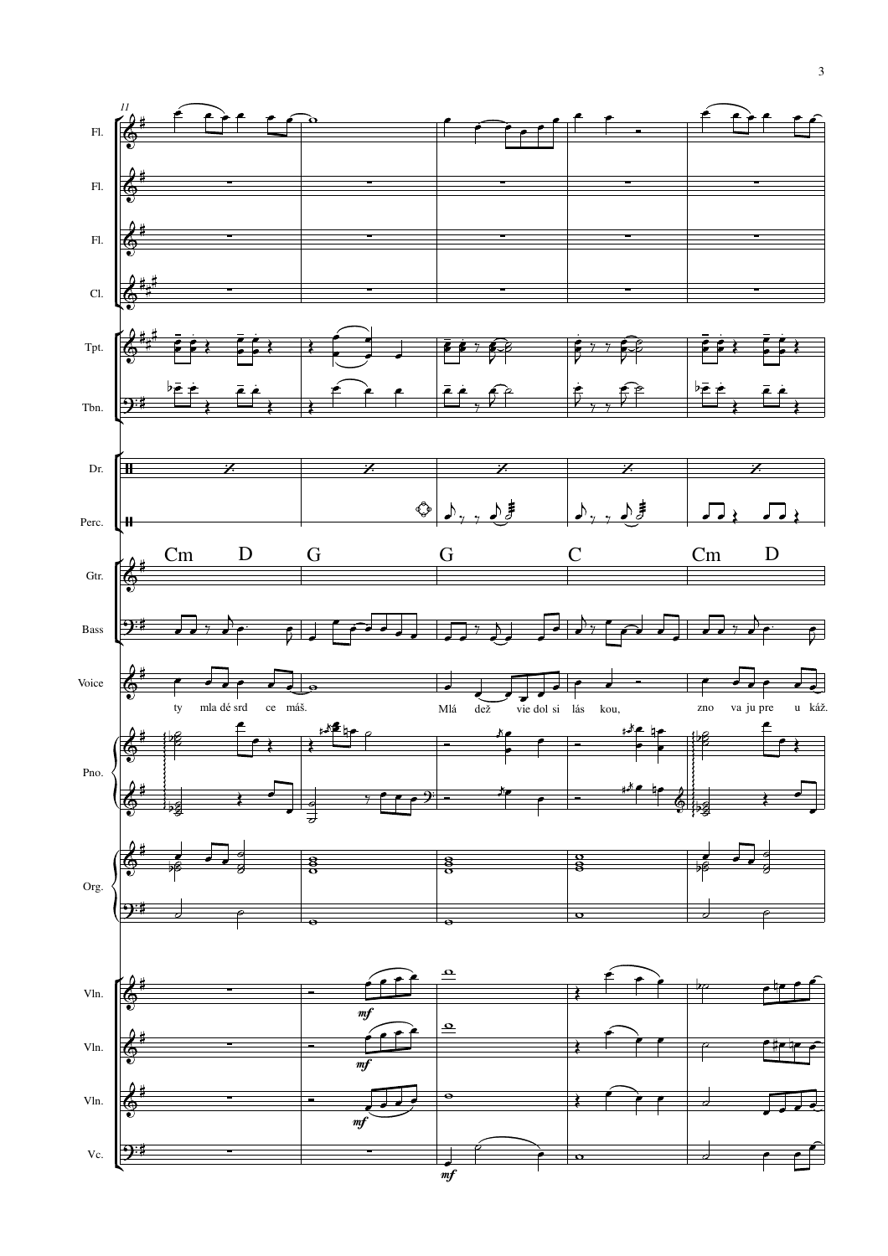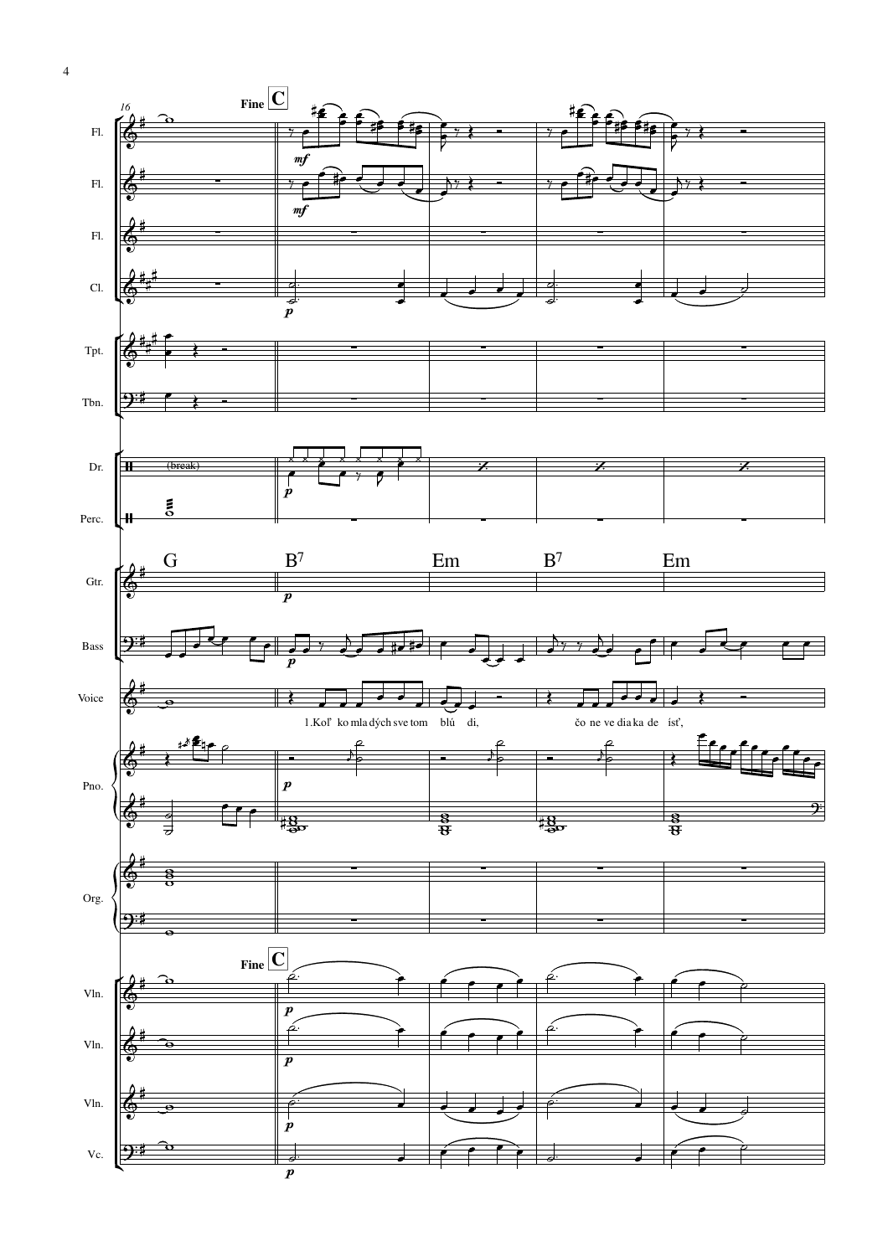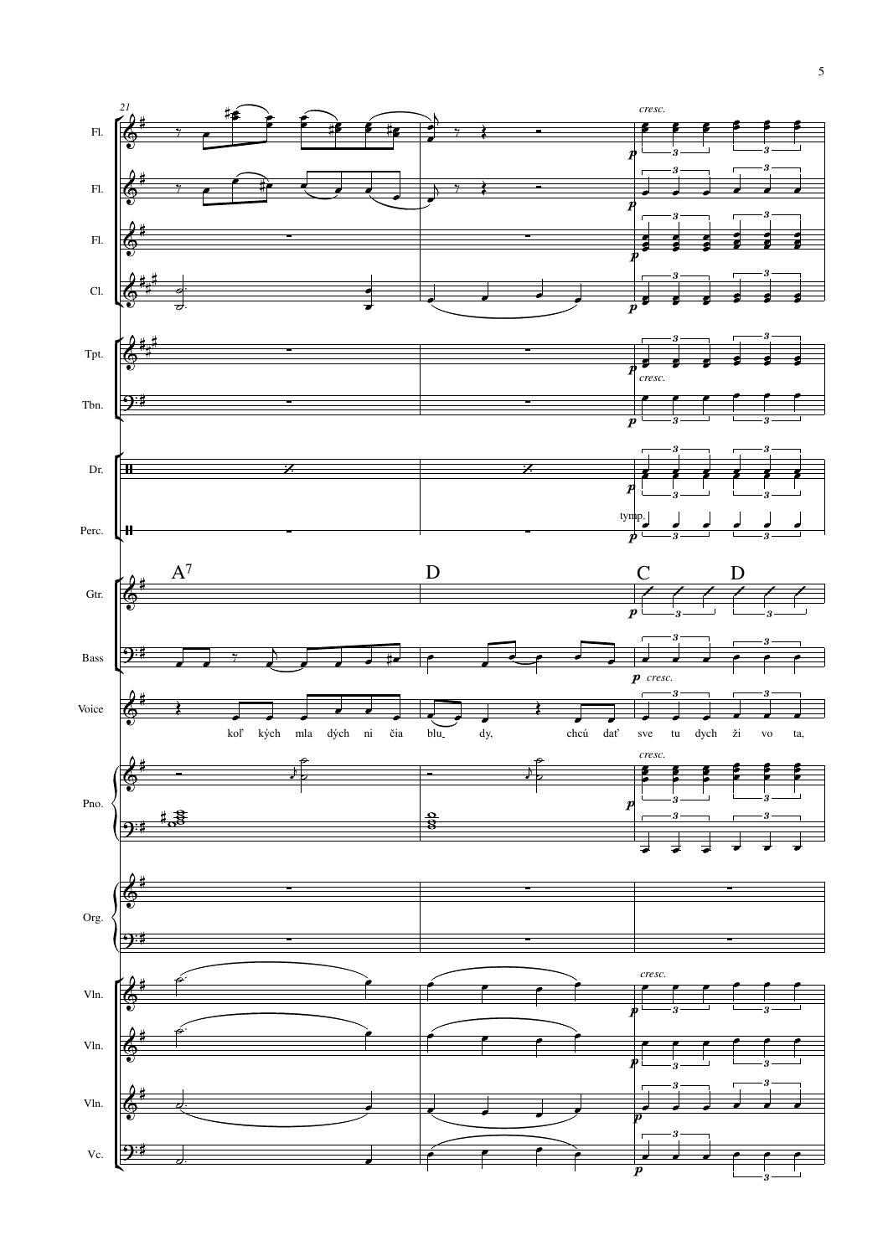